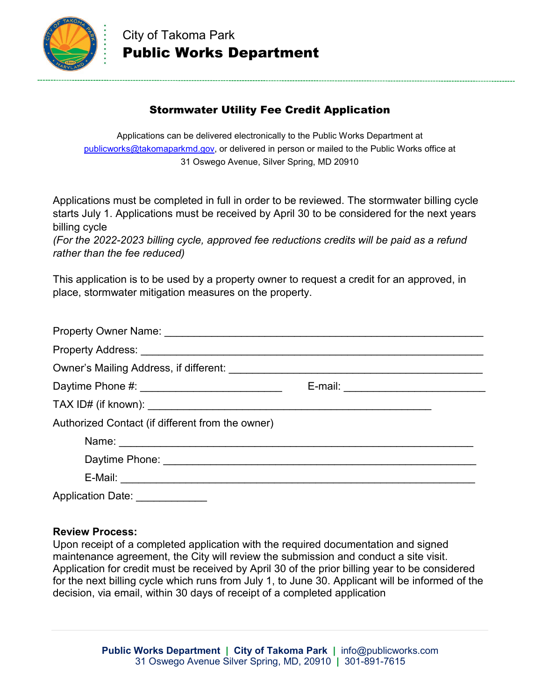

# Stormwater Utility Fee Credit Application

Applications can be delivered electronically to the Public Works Department at [publicworks@takomaparkmd.gov,](mailto:publicworks@takomaparkmd.gov) or delivered in person or mailed to the Public Works office at 31 Oswego Avenue, Silver Spring, MD 20910

Applications must be completed in full in order to be reviewed. The stormwater billing cycle starts July 1. Applications must be received by April 30 to be considered for the next years billing cycle

*(For the 2022-2023 billing cycle, approved fee reductions credits will be paid as a refund rather than the fee reduced)*

This application is to be used by a property owner to request a credit for an approved, in place, stormwater mitigation measures on the property.

| Daytime Phone #: _______________________________ |  |
|--------------------------------------------------|--|
|                                                  |  |
| Authorized Contact (if different from the owner) |  |
|                                                  |  |
|                                                  |  |
|                                                  |  |
| Application Date: ________                       |  |

## **Review Process:**

Upon receipt of a completed application with the required documentation and signed maintenance agreement, the City will review the submission and conduct a site visit. Application for credit must be received by April 30 of the prior billing year to be considered for the next billing cycle which runs from July 1, to June 30. Applicant will be informed of the decision, via email, within 30 days of receipt of a completed application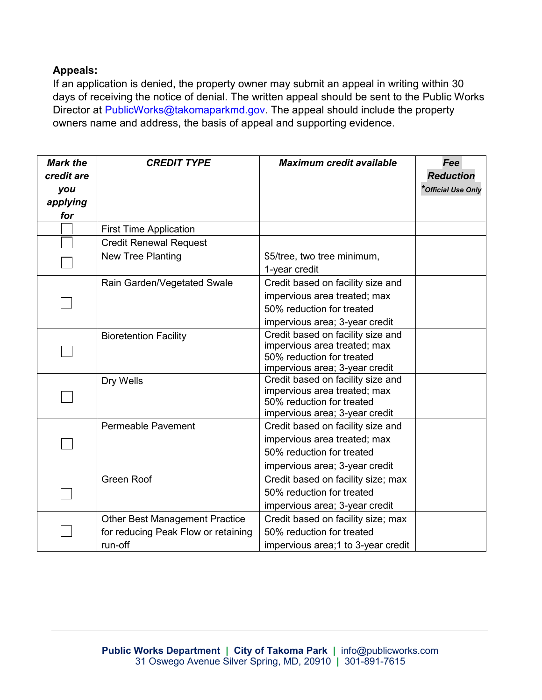#### **Appeals:**

If an application is denied, the property owner may submit an appeal in writing within 30 days of receiving the notice of denial. The written appeal should be sent to the Public Works Director at **PublicWorks@takomaparkmd.gov**. The appeal should include the property owners name and address, the basis of appeal and supporting evidence.

| <b>Mark the</b><br>credit are | <b>CREDIT TYPE</b>                    | <b>Maximum credit available</b>                                     | Fee<br><b>Reduction</b> |
|-------------------------------|---------------------------------------|---------------------------------------------------------------------|-------------------------|
| you                           |                                       |                                                                     | *Official Use Only      |
| applying                      |                                       |                                                                     |                         |
| for                           |                                       |                                                                     |                         |
|                               | <b>First Time Application</b>         |                                                                     |                         |
|                               | <b>Credit Renewal Request</b>         |                                                                     |                         |
|                               | <b>New Tree Planting</b>              | \$5/tree, two tree minimum,                                         |                         |
|                               |                                       | 1-year credit                                                       |                         |
|                               | Rain Garden/Vegetated Swale           | Credit based on facility size and                                   |                         |
|                               |                                       | impervious area treated; max                                        |                         |
|                               |                                       | 50% reduction for treated                                           |                         |
|                               |                                       | impervious area; 3-year credit                                      |                         |
|                               | <b>Bioretention Facility</b>          | Credit based on facility size and                                   |                         |
|                               |                                       | impervious area treated; max                                        |                         |
|                               |                                       | 50% reduction for treated                                           |                         |
|                               |                                       | impervious area; 3-year credit<br>Credit based on facility size and |                         |
|                               | Dry Wells                             | impervious area treated; max                                        |                         |
|                               |                                       | 50% reduction for treated                                           |                         |
|                               |                                       | impervious area; 3-year credit                                      |                         |
|                               | <b>Permeable Pavement</b>             | Credit based on facility size and                                   |                         |
|                               |                                       | impervious area treated; max                                        |                         |
|                               |                                       | 50% reduction for treated                                           |                         |
|                               |                                       | impervious area; 3-year credit                                      |                         |
|                               | <b>Green Roof</b>                     | Credit based on facility size; max                                  |                         |
|                               |                                       | 50% reduction for treated                                           |                         |
|                               |                                       | impervious area; 3-year credit                                      |                         |
|                               | <b>Other Best Management Practice</b> | Credit based on facility size; max                                  |                         |
|                               | for reducing Peak Flow or retaining   | 50% reduction for treated                                           |                         |
|                               | run-off                               | impervious area; 1 to 3-year credit                                 |                         |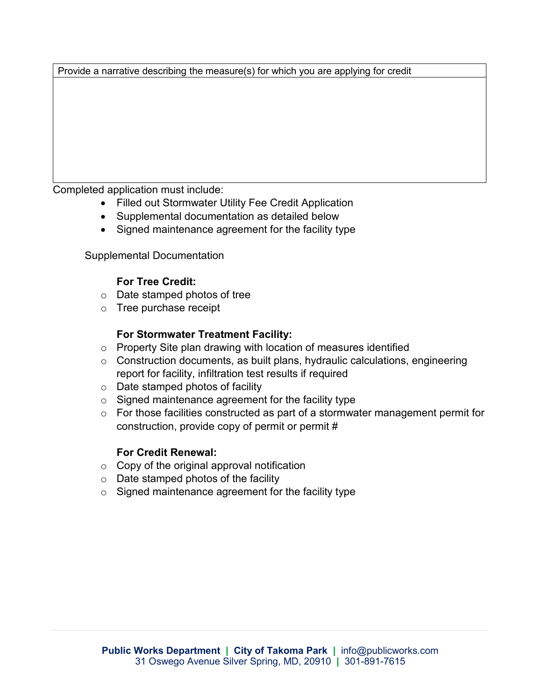Provide a narrative describing the measure(s) for which you are applying for credit

Completed application must include:

- Filled out Stormwater Utility Fee Credit Application
- Supplemental documentation as detailed below
- Signed maintenance agreement for the facility type

Supplemental Documentation

## **For Tree Credit:**

- o Date stamped photos of tree
- o Tree purchase receipt

## **For Stormwater Treatment Facility:**

- o Property Site plan drawing with location of measures identified
- o Construction documents, as built plans, hydraulic calculations, engineering report for facility, infiltration test results if required
- $\circ$  Date stamped photos of facility
- $\circ$  Signed maintenance agreement for the facility type
- o For those facilities constructed as part of a stormwater management permit for construction, provide copy of permit or permit #

## **For Credit Renewal:**

- $\circ$  Copy of the original approval notification
- $\circ$  Date stamped photos of the facility
- $\circ$  Signed maintenance agreement for the facility type